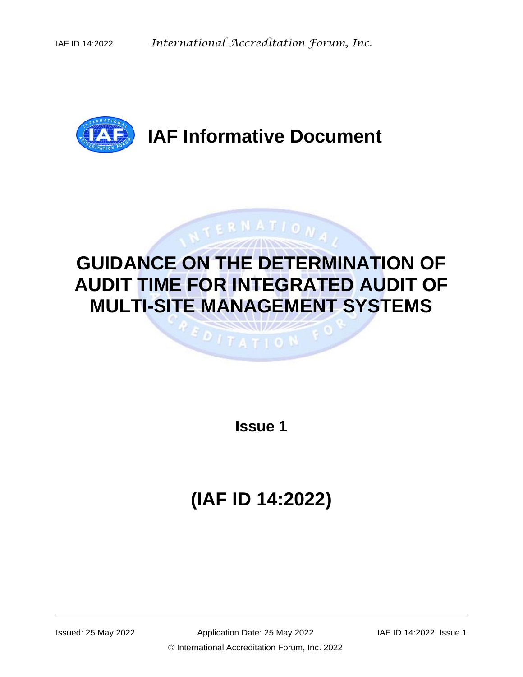

# **IAF Informative Document**

# **GUIDANCE ON THE DETERMINATION OF AUDIT TIME FOR INTEGRATED AUDIT OF MULTI-SITE MANAGEMENT SYSTEMS**

 $017ATIO$  N

ERNATION

**Issue 1**

# **(IAF ID 14:2022)**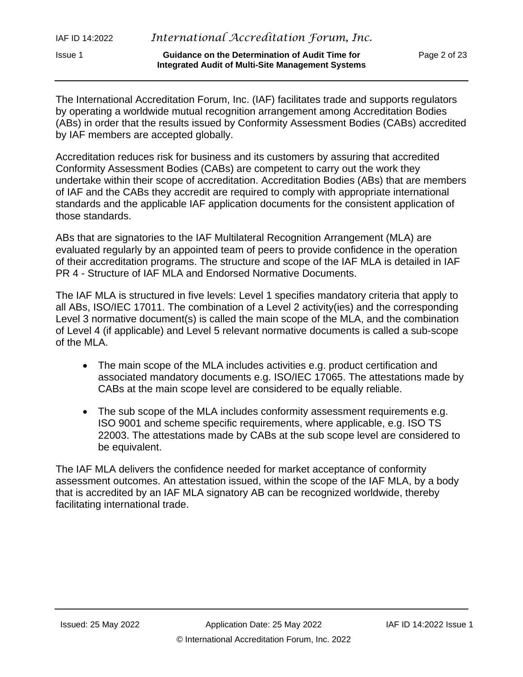| IAF ID 14:2022 | International Accreditation Forum, Inc.                                                                     |              |
|----------------|-------------------------------------------------------------------------------------------------------------|--------------|
| <b>Issue 1</b> | <b>Guidance on the Determination of Audit Time for</b><br>Integrated Audit of Multi-Site Management Systems | Page 2 of 23 |

The International Accreditation Forum, Inc. (IAF) facilitates trade and supports regulators by operating a worldwide mutual recognition arrangement among Accreditation Bodies (ABs) in order that the results issued by Conformity Assessment Bodies (CABs) accredited by IAF members are accepted globally.

Accreditation reduces risk for business and its customers by assuring that accredited Conformity Assessment Bodies (CABs) are competent to carry out the work they undertake within their scope of accreditation. Accreditation Bodies (ABs) that are members of IAF and the CABs they accredit are required to comply with appropriate international standards and the applicable IAF application documents for the consistent application of those standards.

ABs that are signatories to the IAF Multilateral Recognition Arrangement (MLA) are evaluated regularly by an appointed team of peers to provide confidence in the operation of their accreditation programs. The structure and scope of the IAF MLA is detailed in IAF PR 4 - Structure of IAF MLA and Endorsed Normative Documents.

The IAF MLA is structured in five levels: Level 1 specifies mandatory criteria that apply to all ABs, ISO/IEC 17011. The combination of a Level 2 activity(ies) and the corresponding Level 3 normative document(s) is called the main scope of the MLA, and the combination of Level 4 (if applicable) and Level 5 relevant normative documents is called a sub-scope of the MLA.

- The main scope of the MLA includes activities e.g. product certification and associated mandatory documents e.g. ISO/IEC 17065. The attestations made by CABs at the main scope level are considered to be equally reliable.
- The sub scope of the MLA includes conformity assessment requirements e.g. ISO 9001 and scheme specific requirements, where applicable, e.g. ISO TS 22003. The attestations made by CABs at the sub scope level are considered to be equivalent.

The IAF MLA delivers the confidence needed for market acceptance of conformity assessment outcomes. An attestation issued, within the scope of the IAF MLA, by a body that is accredited by an IAF MLA signatory AB can be recognized worldwide, thereby facilitating international trade.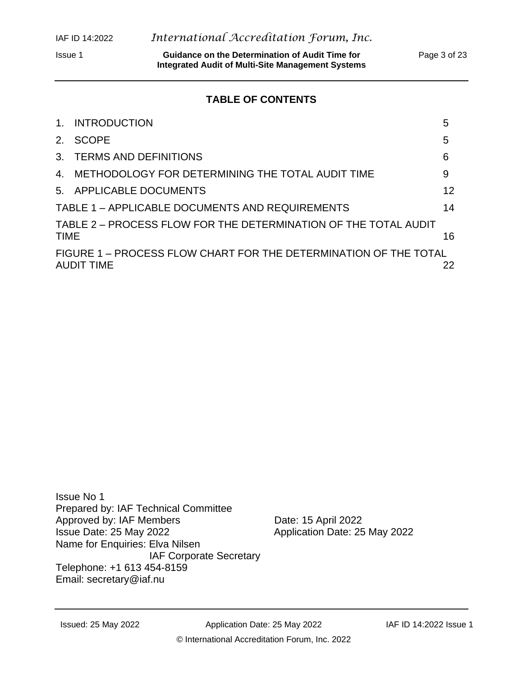Issue 1 **Guidance on the Determination of Audit Time for** Page 3 of 23 **Integrated Audit of Multi-Site Management Systems**

# **TABLE OF CONTENTS**

| 1 <sub>1</sub> | <b>INTRODUCTION</b>                                                                   | 5  |
|----------------|---------------------------------------------------------------------------------------|----|
| 2.             | SCOPE                                                                                 | 5  |
|                | 3. TERMS AND DEFINITIONS                                                              | 6  |
|                | 4. METHODOLOGY FOR DETERMINING THE TOTAL AUDIT TIME                                   | 9  |
|                | 5. APPLICABLE DOCUMENTS                                                               | 12 |
|                | TABLE 1 - APPLICABLE DOCUMENTS AND REQUIREMENTS                                       | 14 |
| <b>TIME</b>    | TABLE 2 - PROCESS FLOW FOR THE DETERMINATION OF THE TOTAL AUDIT                       | 16 |
|                | FIGURE 1 – PROCESS FLOW CHART FOR THE DETERMINATION OF THE TOTAL<br><b>AUDIT TIME</b> | 22 |

Issue No 1 Prepared by: IAF Technical Committee Approved by: IAF Members<br>
Issue Date: 25 May 2022 <br>
Application Date: 25 Name for Enquiries: Elva Nilsen IAF Corporate Secretary Telephone: +1 613 454-8159 Email: [secretary@iaf.nu](mailto:secretary@iaf.nu)

Application Date: 25 May 2022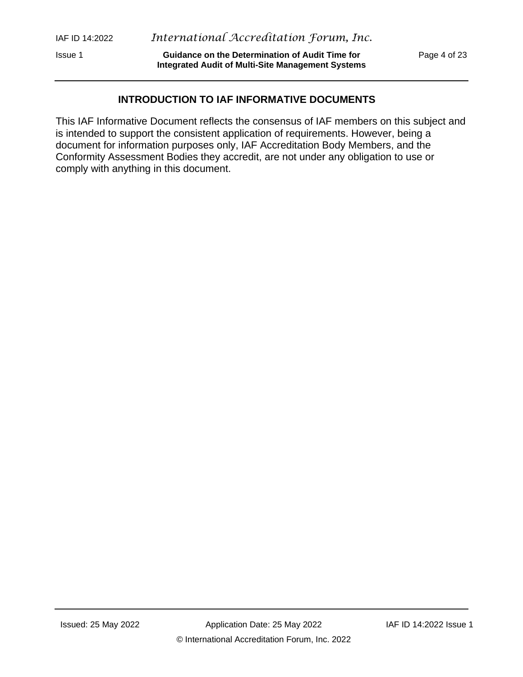Issue 1 **Guidance on the Determination of Audit Time for** Page 4 of 23 **Integrated Audit of Multi-Site Management Systems**

# **INTRODUCTION TO IAF INFORMATIVE DOCUMENTS**

This IAF Informative Document reflects the consensus of IAF members on this subject and is intended to support the consistent application of requirements. However, being a document for information purposes only, IAF Accreditation Body Members, and the Conformity Assessment Bodies they accredit, are not under any obligation to use or comply with anything in this document.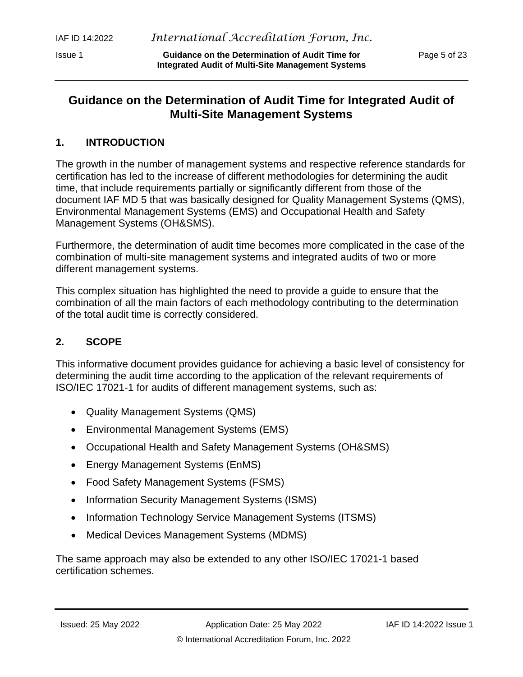Issue 1 **Guidance on the Determination of Audit Time for** Page 5 of 23 **Integrated Audit of Multi-Site Management Systems**

# **Guidance on the Determination of Audit Time for Integrated Audit of Multi-Site Management Systems**

# <span id="page-4-0"></span>**1. INTRODUCTION**

The growth in the number of management systems and respective reference standards for certification has led to the increase of different methodologies for determining the audit time, that include requirements partially or significantly different from those of the document IAF MD 5 that was basically designed for Quality Management Systems (QMS), Environmental Management Systems (EMS) and Occupational Health and Safety Management Systems (OH&SMS).

Furthermore, the determination of audit time becomes more complicated in the case of the combination of multi-site management systems and integrated audits of two or more different management systems.

This complex situation has highlighted the need to provide a guide to ensure that the combination of all the main factors of each methodology contributing to the determination of the total audit time is correctly considered.

# <span id="page-4-1"></span>**2. SCOPE**

This informative document provides guidance for achieving a basic level of consistency for determining the audit time according to the application of the relevant requirements of ISO/IEC 17021-1 for audits of different management systems, such as:

- Quality Management Systems (QMS)
- Environmental Management Systems (EMS)
- Occupational Health and Safety Management Systems (OH&SMS)
- Energy Management Systems (EnMS)
- Food Safety Management Systems (FSMS)
- Information Security Management Systems (ISMS)
- Information Technology Service Management Systems (ITSMS)
- Medical Devices Management Systems (MDMS)

The same approach may also be extended to any other ISO/IEC 17021-1 based certification schemes.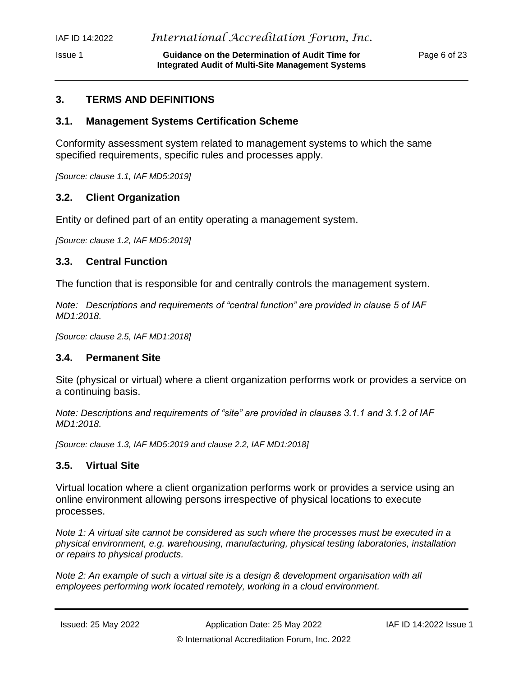#### Issue 1 **Guidance on the Determination of Audit Time for** Page 6 of 23 **Integrated Audit of Multi-Site Management Systems**

# <span id="page-5-0"></span>**3. TERMS AND DEFINITIONS**

# **3.1. Management Systems Certification Scheme**

Conformity assessment system related to management systems to which the same specified requirements, specific rules and processes apply.

*[Source: clause 1.1, IAF MD5:2019]*

# **3.2. Client Organization**

Entity or defined part of an entity operating a management system.

*[Source: clause 1.2, IAF MD5:2019]*

# **3.3. Central Function**

The function that is responsible for and centrally controls the management system.

*Note: Descriptions and requirements of "central function" are provided in clause 5 of IAF MD1:2018.*

*[Source: clause 2.5, IAF MD1:2018]*

# **3.4. Permanent Site**

Site (physical or virtual) where a client organization performs work or provides a service on a continuing basis.

*Note: Descriptions and requirements of "site" are provided in clauses 3.1.1 and 3.1.2 of IAF MD1:2018.*

*[Source: clause 1.3, IAF MD5:2019 and clause 2.2, IAF MD1:2018]*

# **3.5. Virtual Site**

Virtual location where a client organization performs work or provides a service using an online environment allowing persons irrespective of physical locations to execute processes.

*Note 1: A virtual site cannot be considered as such where the processes must be executed in a physical environment, e.g. warehousing, manufacturing, physical testing laboratories, installation or repairs to physical products.*

*Note 2: An example of such a virtual site is a design & development organisation with all employees performing work located remotely, working in a cloud environment.*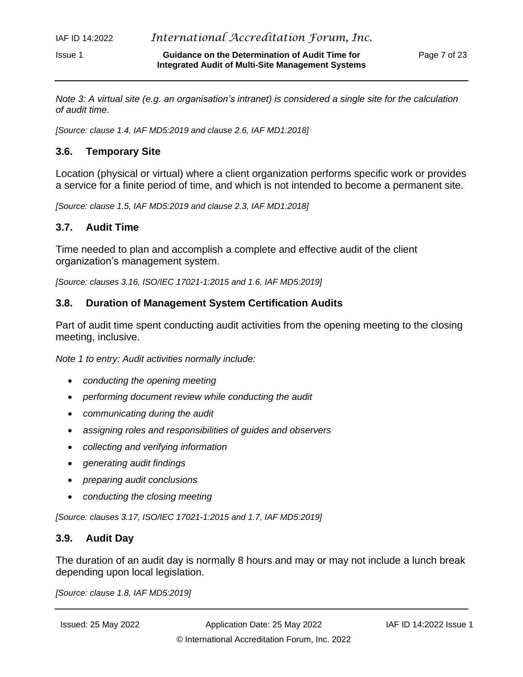*Note 3: A virtual site (e.g. an organisation's intranet) is considered a single site for the calculation of audit time.*

*[Source: clause 1.4, IAF MD5:2019 and clause 2.6, IAF MD1:2018]*

#### **3.6. Temporary Site**

Location (physical or virtual) where a client organization performs specific work or provides a service for a finite period of time, and which is not intended to become a permanent site.

*[Source: clause 1.5, IAF MD5:2019 and clause 2.3, IAF MD1:2018]*

#### **3.7. Audit Time**

Time needed to plan and accomplish a complete and effective audit of the client organization's management system.

*[Source: clauses 3.16, ISO/IEC 17021-1:2015 and 1.6, IAF MD5:2019]*

#### **3.8. Duration of Management System Certification Audits**

Part of audit time spent conducting audit activities from the opening meeting to the closing meeting, inclusive.

*Note 1 to entry: Audit activities normally include:*

- *conducting the opening meeting*
- *performing document review while conducting the audit*
- *communicating during the audit*
- *assigning roles and responsibilities of guides and observers*
- *collecting and verifying information*
- *generating audit findings*
- *preparing audit conclusions*
- *conducting the closing meeting*

*[Source: clauses 3.17, ISO/IEC 17021-1:2015 and 1.7, IAF MD5:2019]*

#### **3.9. Audit Day**

The duration of an audit day is normally 8 hours and may or may not include a lunch break depending upon local legislation.

*[Source: clause 1.8, IAF MD5:2019]*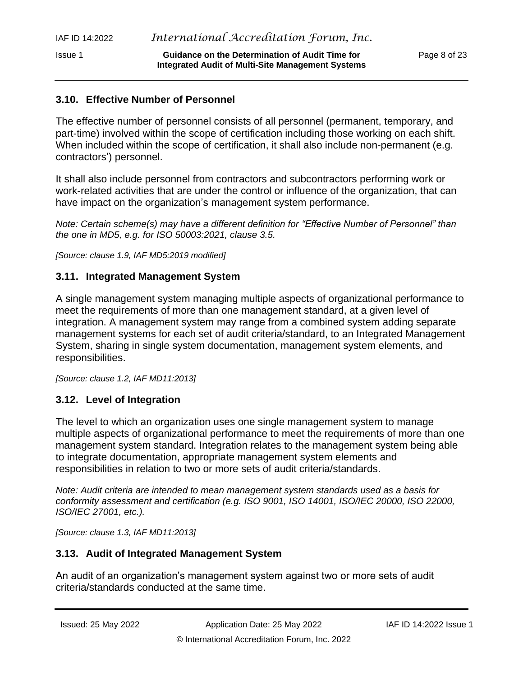# **3.10. Effective Number of Personnel**

The effective number of personnel consists of all personnel (permanent, temporary, and part-time) involved within the scope of certification including those working on each shift. When included within the scope of certification, it shall also include non-permanent (e.g. contractors') personnel.

**Integrated Audit of Multi-Site Management Systems**

It shall also include personnel from contractors and subcontractors performing work or work-related activities that are under the control or influence of the organization, that can have impact on the organization's management system performance.

*Note: Certain scheme(s) may have a different definition for "Effective Number of Personnel" than the one in MD5, e.g. for ISO 50003:2021, clause 3.5.*

*[Source: clause 1.9, IAF MD5:2019 modified]*

#### **3.11. Integrated Management System**

A single management system managing multiple aspects of organizational performance to meet the requirements of more than one management standard, at a given level of integration. A management system may range from a combined system adding separate management systems for each set of audit criteria/standard, to an Integrated Management System, sharing in single system documentation, management system elements, and responsibilities.

*[Source: clause 1.2, IAF MD11:2013]*

# **3.12. Level of Integration**

The level to which an organization uses one single management system to manage multiple aspects of organizational performance to meet the requirements of more than one management system standard. Integration relates to the management system being able to integrate documentation, appropriate management system elements and responsibilities in relation to two or more sets of audit criteria/standards.

*Note: Audit criteria are intended to mean management system standards used as a basis for conformity assessment and certification (e.g. ISO 9001, ISO 14001, ISO/IEC 20000, ISO 22000, ISO/IEC 27001, etc.).*

*[Source: clause 1.3, IAF MD11:2013]*

# **3.13. Audit of Integrated Management System**

An audit of an organization's management system against two or more sets of audit criteria/standards conducted at the same time.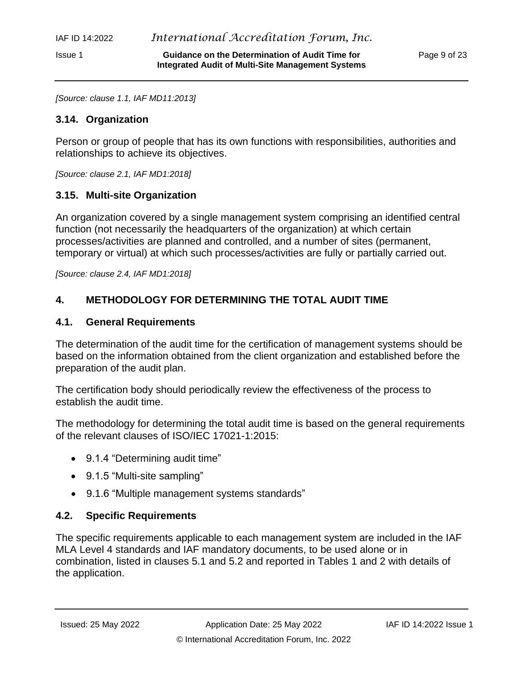*[Source: clause 1.1, IAF MD11:2013]*

### **3.14. Organization**

Person or group of people that has its own functions with responsibilities, authorities and relationships to achieve its objectives.

*[Source: clause 2.1, IAF MD1:2018]*

# **3.15. Multi-site Organization**

An organization covered by a single management system comprising an identified central function (not necessarily the headquarters of the organization) at which certain processes/activities are planned and controlled, and a number of sites (permanent, temporary or virtual) at which such processes/activities are fully or partially carried out.

*[Source: clause 2.4, IAF MD1:2018]*

# <span id="page-8-0"></span>**4. METHODOLOGY FOR DETERMINING THE TOTAL AUDIT TIME**

# **4.1. General Requirements**

The determination of the audit time for the certification of management systems should be based on the information obtained from the client organization and established before the preparation of the audit plan.

The certification body should periodically review the effectiveness of the process to establish the audit time.

The methodology for determining the total audit time is based on the general requirements of the relevant clauses of ISO/IEC 17021-1:2015:

- 9.1.4 "Determining audit time"
- 9.1.5 "Multi-site sampling"
- 9.1.6 "Multiple management systems standards"

# **4.2. Specific Requirements**

The specific requirements applicable to each management system are included in the IAF MLA Level 4 standards and IAF mandatory documents, to be used alone or in combination, listed in clauses 5.1 and 5.2 and reported in Tables 1 and 2 with details of the application.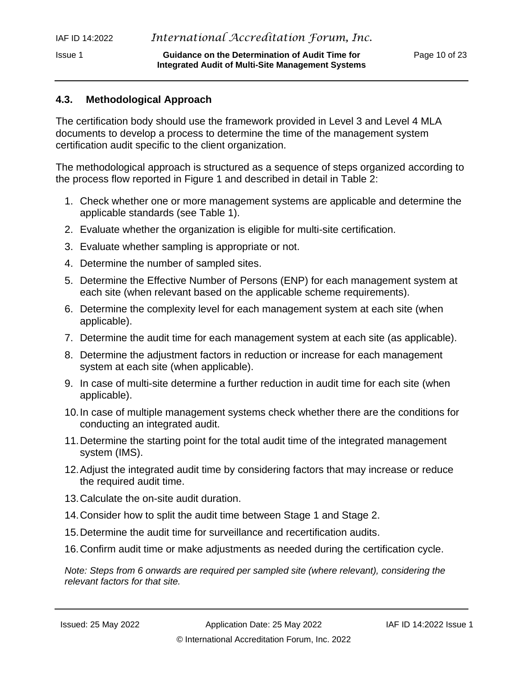### **4.3. Methodological Approach**

The certification body should use the framework provided in Level 3 and Level 4 MLA documents to develop a process to determine the time of the management system certification audit specific to the client organization.

The methodological approach is structured as a sequence of steps organized according to the process flow reported in Figure 1 and described in detail in Table 2:

- 1. Check whether one or more management systems are applicable and determine the applicable standards (see Table 1).
- 2. Evaluate whether the organization is eligible for multi-site certification.
- 3. Evaluate whether sampling is appropriate or not.
- 4. Determine the number of sampled sites.
- 5. Determine the Effective Number of Persons (ENP) for each management system at each site (when relevant based on the applicable scheme requirements).
- 6. Determine the complexity level for each management system at each site (when applicable).
- 7. Determine the audit time for each management system at each site (as applicable).
- 8. Determine the adjustment factors in reduction or increase for each management system at each site (when applicable).
- 9. In case of multi-site determine a further reduction in audit time for each site (when applicable).
- 10.In case of multiple management systems check whether there are the conditions for conducting an integrated audit.
- 11.Determine the starting point for the total audit time of the integrated management system (IMS).
- 12.Adjust the integrated audit time by considering factors that may increase or reduce the required audit time.
- 13.Calculate the on-site audit duration.
- 14.Consider how to split the audit time between Stage 1 and Stage 2.
- 15.Determine the audit time for surveillance and recertification audits.
- 16.Confirm audit time or make adjustments as needed during the certification cycle.

*Note: Steps from 6 onwards are required per sampled site (where relevant), considering the relevant factors for that site.*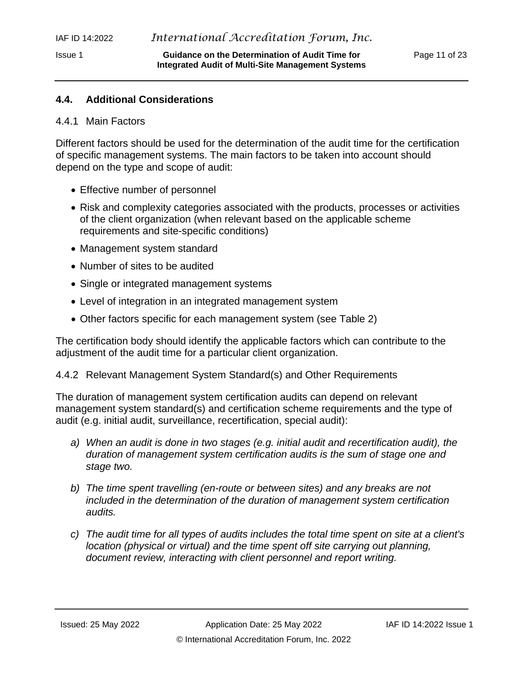### **4.4. Additional Considerations**

#### 4.4.1 Main Factors

Different factors should be used for the determination of the audit time for the certification of specific management systems. The main factors to be taken into account should depend on the type and scope of audit:

- Effective number of personnel
- Risk and complexity categories associated with the products, processes or activities of the client organization (when relevant based on the applicable scheme requirements and site-specific conditions)
- Management system standard
- Number of sites to be audited
- Single or integrated management systems
- Level of integration in an integrated management system
- Other factors specific for each management system (see Table 2)

The certification body should identify the applicable factors which can contribute to the adjustment of the audit time for a particular client organization.

#### 4.4.2 Relevant Management System Standard(s) and Other Requirements

The duration of management system certification audits can depend on relevant management system standard(s) and certification scheme requirements and the type of audit (e.g. initial audit, surveillance, recertification, special audit):

- *a) When an audit is done in two stages (e.g. initial audit and recertification audit), the duration of management system certification audits is the sum of stage one and stage two.*
- *b) The time spent travelling (en-route or between sites) and any breaks are not included in the determination of the duration of management system certification audits.*
- *c) The audit time for all types of audits includes the total time spent on site at a client's location (physical or virtual) and the time spent off site carrying out planning, document review, interacting with client personnel and report writing.*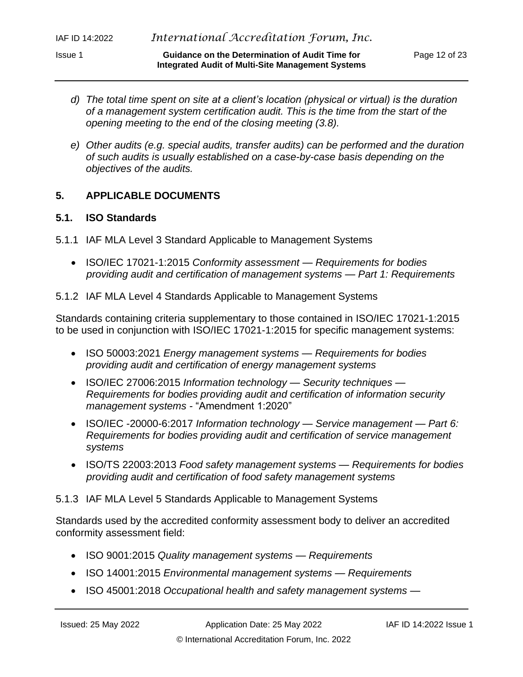- *d) The total time spent on site at a client's location (physical or virtual) is the duration of a management system certification audit. This is the time from the start of the opening meeting to the end of the closing meeting (3.8).*
- *e) Other audits (e.g. special audits, transfer audits) can be performed and the duration of such audits is usually established on a case-by-case basis depending on the objectives of the audits.*

#### <span id="page-11-0"></span>**5. APPLICABLE DOCUMENTS**

#### **5.1. ISO Standards**

- 5.1.1 IAF MLA Level 3 Standard Applicable to Management Systems
	- ISO/IEC 17021-1:2015 *Conformity assessment — Requirements for bodies providing audit and certification of management systems — Part 1: Requirements*

#### 5.1.2 IAF MLA Level 4 Standards Applicable to Management Systems

Standards containing criteria supplementary to those contained in ISO/IEC 17021-1:2015 to be used in conjunction with ISO/IEC 17021-1:2015 for specific management systems:

- ISO 50003:2021 *Energy management systems — Requirements for bodies providing audit and certification of energy management systems*
- ISO/IEC 27006:2015 *Information technology — Security techniques — Requirements for bodies providing audit and certification of information security management systems -* "Amendment 1:2020"
- ISO/IEC -20000-6:2017 *Information technology — Service management — Part 6: Requirements for bodies providing audit and certification of service management systems*
- ISO/TS 22003:2013 *Food safety management systems — Requirements for bodies providing audit and certification of food safety management systems*

#### 5.1.3 IAF MLA Level 5 Standards Applicable to Management Systems

Standards used by the accredited conformity assessment body to deliver an accredited conformity assessment field:

- ISO 9001:2015 *Quality management systems — Requirements*
- ISO 14001:2015 *Environmental management systems — Requirements*
- ISO 45001:2018 *Occupational health and safety management systems —*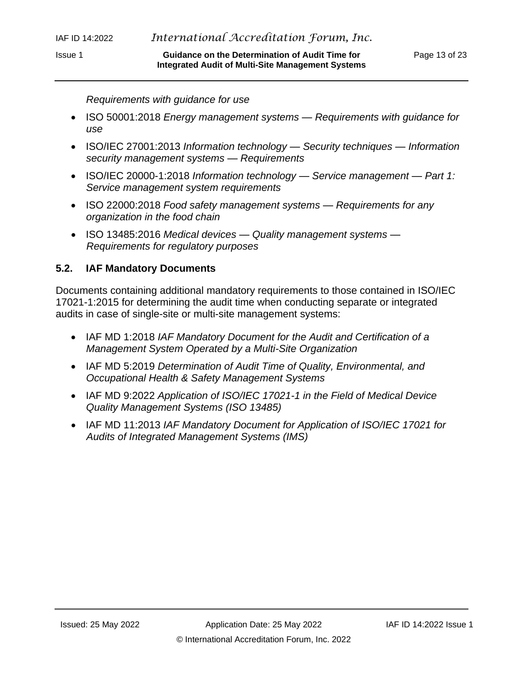*Requirements with guidance for use*

- ISO 50001:2018 *Energy management systems — Requirements with guidance for use*
- ISO/IEC 27001:2013 *Information technology — Security techniques — Information security management systems — Requirements*
- ISO/IEC 20000-1:2018 *Information technology — Service management — Part 1: Service management system requirements*
- ISO 22000:2018 *Food safety management systems — Requirements for any organization in the food chain*
- ISO 13485:2016 *Medical devices — Quality management systems — Requirements for regulatory purposes*

#### **5.2. IAF Mandatory Documents**

Documents containing additional mandatory requirements to those contained in ISO/IEC 17021-1:2015 for determining the audit time when conducting separate or integrated audits in case of single-site or multi-site management systems:

- IAF MD 1:2018 *[IAF Mandatory Document for the Audit and Certification of a](https://www.iaf.nu/workstation/upFiles/MD1Issue2Jan2018Pub29012018.pdf)  [Management System Operated by a Multi-Site Organization](https://www.iaf.nu/workstation/upFiles/MD1Issue2Jan2018Pub29012018.pdf)*
- IAF MD 5:2019 *[Determination of Audit Time of Quality, Environmental, and](https://www.iaf.nu/upFiles/IAF%20MD5%20Issue%204%20Version%202%2011112019.pdf)  [Occupational Health & Safety Management Systems](https://www.iaf.nu/upFiles/IAF%20MD5%20Issue%204%20Version%202%2011112019.pdf)*
- IAF MD 9:2022 *[Application of ISO/IEC 17021-1 in the Field of Medical Device](https://www.iaf.nu/workstation/upFiles/IAFMD9Issue309062017.pdf)  [Quality Management Systems \(ISO 13485\)](https://www.iaf.nu/workstation/upFiles/IAFMD9Issue309062017.pdf)*
- IAF MD 11:2013 *[IAF Mandatory Document for Application of ISO/IEC 17021 for](https://www.iaf.nu/upFiles/MD_on_the_Application_of_ISO_17021_to_Audits_of_IMS__v_3__Final3_clean.pdf)  [Audits of Integrated Management Systems \(IMS\)](https://www.iaf.nu/upFiles/MD_on_the_Application_of_ISO_17021_to_Audits_of_IMS__v_3__Final3_clean.pdf)*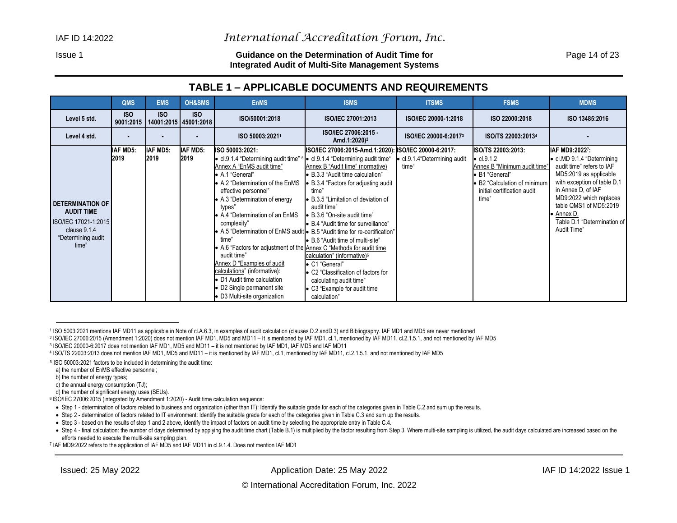#### Issue 1 **Guidance on the Determination of Audit Time for** Page 14 of 23 **Integrated Audit of Multi-Site Management Systems**

# **TABLE 1 – APPLICABLE DOCUMENTS AND REQUIREMENTS**

|                                                                                                                     | <b>QMS</b>              | <b>EMS</b>                          | OH&SMS                  | <b>EnMS</b>                                                                                                                                                                                                                                                                                                                                                                                                                                                                                                                                                                                                                                                | <b>ISMS</b>                                                                                                                                                                                                                                                                                                                                                                                                                                                                                                                    | <b>ITSMS</b>                           | <b>FSMS</b>                                                                                                                                                        | <b>MDMS</b>                                                                                                                                                                                                                                                               |
|---------------------------------------------------------------------------------------------------------------------|-------------------------|-------------------------------------|-------------------------|------------------------------------------------------------------------------------------------------------------------------------------------------------------------------------------------------------------------------------------------------------------------------------------------------------------------------------------------------------------------------------------------------------------------------------------------------------------------------------------------------------------------------------------------------------------------------------------------------------------------------------------------------------|--------------------------------------------------------------------------------------------------------------------------------------------------------------------------------------------------------------------------------------------------------------------------------------------------------------------------------------------------------------------------------------------------------------------------------------------------------------------------------------------------------------------------------|----------------------------------------|--------------------------------------------------------------------------------------------------------------------------------------------------------------------|---------------------------------------------------------------------------------------------------------------------------------------------------------------------------------------------------------------------------------------------------------------------------|
| Level 5 std.                                                                                                        | <b>ISO</b><br>9001:2015 | <b>ISO</b><br>14001:2015 45001:2018 | <b>ISO</b>              | ISO/50001:2018                                                                                                                                                                                                                                                                                                                                                                                                                                                                                                                                                                                                                                             | ISO/IEC 27001:2013                                                                                                                                                                                                                                                                                                                                                                                                                                                                                                             | ISO/IEC 20000-1:2018                   | ISO 22000:2018                                                                                                                                                     | ISO 13485:2016                                                                                                                                                                                                                                                            |
| Level 4 std.                                                                                                        |                         |                                     |                         | ISO 50003:20211                                                                                                                                                                                                                                                                                                                                                                                                                                                                                                                                                                                                                                            | ISO/IEC 27006:2015 -<br>Amd.1:2020) <sup>2</sup>                                                                                                                                                                                                                                                                                                                                                                                                                                                                               | ISO/IEC 20000-6:20173                  | ISO/TS 22003:20134                                                                                                                                                 |                                                                                                                                                                                                                                                                           |
| <b>DETERMINATION OF</b><br><b>AUDIT TIME</b><br>ISO/IEC 17021-1:2015<br>clause 9.1.4<br>"Determining audit<br>time" | <b>IAF MD5:</b><br>2019 | <b>IAF MD5:</b><br>2019             | <b>IAF MD5:</b><br>2019 | ISO 50003:2021:<br>• cl.9.1.4 "Determining audit time" <sup>5</sup> • cl.9.1.4 "Determining audit time"<br>Annex A "EnMS audit time"<br>• A.1 "General"<br>• A.2 "Determination of the EnMS<br>effective personnel"<br>• A.3 "Determination of energy<br>types"<br>• A.4 "Determination of an EnMS<br>complexity"<br>• A.5 "Determination of EnMS audit • B.5 "Audit time for re-certification"<br>time"<br>• A.6 "Factors for adjustment of the Annex C "Methods for audit time<br>audit time"<br>Annex D "Examples of audit<br>calculations" (informative):<br>• D1 Audit time calculation<br>• D2 Single permanent site<br>• D3 Multi-site organization | ISO/IEC 27006:2015-Amd.1:2020): ISO/IEC 20000-6:2017:<br>Annex B "Audit time" (normative)<br>• B.3.3 "Audit time calculation"<br>• B.3.4 "Factors for adjusting audit<br>time"<br>• B.3.5 "Limitation of deviation of<br>audit time"<br>• B.3.6 "On-site audit time"<br>• B.4 "Audit time for surveillance"<br>• B.6 "Audit time of multi-site"<br>calculation" (informative) <sup>6</sup><br>• C1 "General"<br>• C2 "Classification of factors for<br>calculating audit time"<br>• C3 "Example for audit time<br>calculation" | • cl.9.1.4 "Determining audit<br>time" | ISO/TS 22003:2013:<br>$\bullet$ cl.9.1.2<br>Annex B "Minimum audit time"<br>• B1 "General"<br>• B2 "Calculation of minimum<br>initial certification audit<br>time" | IAF MD9:20227:<br>• cl.MD 9.1.4 "Determining<br>audit time" refers to IAF<br>MD5:2019 as applicable<br>with exception of table D.1<br>in Annex D, of IAF<br>MD9:2022 which replaces<br>table QMS1 of MD5:2019<br>• Annex D.<br>Table D.1 "Determination of<br>Audit Time" |

<span id="page-13-0"></span>1 ISO 5003:2021 mentions IAF MD11 as applicable in Note of cl.A.6.3, in examples of audit calculation (clauses D.2 andD.3) and Bibliography. IAF MD1 and MD5 are never mentioned

2 ISO/IEC 27006:2015 (Amendment 1:2020) does not mention IAF MD1, MD5 and MD11 – It is mentioned by IAF MD1, cl.1, mentioned by IAF MD11, cl.2.1.5.1, and not mentioned by IAF MD5

3 ISO/IEC 20000-6:2017 does not mention IAF MD1, MD5 and MD11 – it is not mentioned by IAF MD1, IAF MD5 and IAF MD11

<sup>4</sup> ISO/TS 22003:2013 does not mention IAF MD1, MD5 and MD11 – it is mentioned by IAF MD1, cl.1, mentioned by IAF MD11, cl.2.1.5.1, and not mentioned by IAF MD5

<sup>5</sup> ISO 50003:2021 factors to be included in determining the audit time:

a) the number of EnMS effective personnel;

b) the number of energy types;

c) the annual energy consumption (TJ);

d) the number of significant energy uses (SEUs).

<sup>6</sup> ISO/IEC 27006:2015 (integrated by Amendment 1:2020) - Audit time calculation sequence:

<sup>•</sup> Step 1 - determination of factors related to business and organization (other than IT): Identify the suitable grade for each of the categories given in Table C.2 and sum up the results.

<sup>•</sup> Step 2 - determination of factors related to IT environment: Identify the suitable grade for each of the categories given in Table C.3 and sum up the results.

<sup>•</sup> Step 3 - based on the results of step 1 and 2 above, identify the impact of factors on audit time by selecting the appropriate entry in Table C.4.

<sup>•</sup> Step 4 - final calculation: the number of days determined by applying the audit time chart (Table B.1) is multiplied by the factor resulting from Step 3. Where multi-site sampling is utilized, the audit days calculated a efforts needed to execute the multi-site sampling plan.

<sup>7</sup> IAF MD9:2022 refers to the application of IAF MD5 and IAF MD11 in cl.9.1.4. Does not mention IAF MD1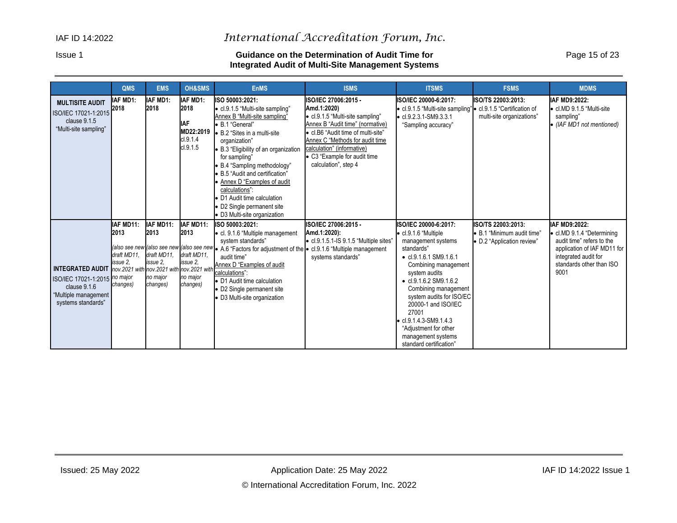#### Issue 1 **Guidance on the Determination of Audit Time for** Page 15 of 23 **Integrated Audit of Multi-Site Management Systems**

|                                                                                                                                                           | <b>QMS</b>                                               | <b>EMS</b>                                                           | <b>OH&amp;SMS</b>                                                    | <b>EnMS</b>                                                                                                                                                                                                                                                                                                                                                                                                            | <b>ISMS</b>                                                                                                                                                                                                                                                                | <b>ITSMS</b>                                                                                                                                                                                                                                                                                                                                                                                           | <b>FSMS</b>                                                                           | <b>MDMS</b>                                                                                                                                                         |
|-----------------------------------------------------------------------------------------------------------------------------------------------------------|----------------------------------------------------------|----------------------------------------------------------------------|----------------------------------------------------------------------|------------------------------------------------------------------------------------------------------------------------------------------------------------------------------------------------------------------------------------------------------------------------------------------------------------------------------------------------------------------------------------------------------------------------|----------------------------------------------------------------------------------------------------------------------------------------------------------------------------------------------------------------------------------------------------------------------------|--------------------------------------------------------------------------------------------------------------------------------------------------------------------------------------------------------------------------------------------------------------------------------------------------------------------------------------------------------------------------------------------------------|---------------------------------------------------------------------------------------|---------------------------------------------------------------------------------------------------------------------------------------------------------------------|
| <b>MULTISITE AUDIT</b><br>ISO/IEC 17021-1:2015<br>clause 9.1.5<br>"Multi-site sampling"                                                                   | IAF MD1:<br>2018                                         | IAF MD1:<br>2018                                                     | IAF MD1:<br>2018<br><b>IAF</b><br>MD22:2019<br>cl.9.1.4<br>cl.9.1.5  | ISO 50003:2021:<br>• cl.9.1.5 "Multi-site sampling"<br>Annex B "Multi-site sampling"<br>• B.1 "General"<br>• B.2 "Sites in a multi-site<br>organization"<br>B.3 "Eligibility of an organization<br>for sampling"<br>B.4 "Sampling methodology"<br>B.5 "Audit and certification"<br>Annex D "Examples of audit<br>calculations":<br>D1 Audit time calculation<br>D2 Single permanent site<br>D3 Multi-site organization | ISO/IEC 27006:2015 -<br>Amd.1:2020)<br>• cl.9.1.5 "Multi-site sampling"<br>Annex B "Audit time" (normative)<br>• cl.B6 "Audit time of multi-site"<br>Annex C "Methods for audit time<br>calculation" (informative)<br>• C3 "Example for audit time<br>calculation", step 4 | ISO/IEC 20000-6:2017:<br>• cl.9.1.5 "Multi-site sampling" • cl.9.1.5 "Certification of<br>$\bullet$ cl.9.2.3.1-SM9.3.3.1<br>"Sampling accuracy"                                                                                                                                                                                                                                                        | ISO/TS 22003:2013:<br>multi-site organizations"                                       | IAF MD9:2022:<br>• cl.MD 9.1.5 "Multi-site<br>sampling"<br>• (IAF MD1 not mentioned)                                                                                |
| INTEGRATED AUDIT nov.2021 with nov.2021 with nov.2021 with<br>ISO/IEC 17021-1:2015 no major<br>clause 9.1.6<br>"Multiple management<br>systems standards" | IAF MD11:<br>2013<br>draft MD11.<br>issue 2.<br>changes) | IAF MD11:<br>2013<br>draft MD11.<br>issue 2.<br>no major<br>changes) | IAF MD11:<br>2013<br>draft MD11.<br>issue 2.<br>no major<br>changes) | ISO 50003:2021:<br>• cl. 9.1.6 "Multiple management<br>system standards"<br>(also see new (also see new (also see new $\bullet$ A.6 "Factors for adjustment of the $\bullet$ cl.9.1.6 "Multiple management<br>audit time"<br>Annex D "Examples of audit<br>calculations":<br>• D1 Audit time calculation<br>D2 Single permanent site<br>D3 Multi-site organization                                                     | ISO/IEC 27006:2015 -<br>Amd.1:2020):<br>$\bullet$ cl.9.1.5.1-IS 9.1.5 "Multiple sites"<br>systems standards"                                                                                                                                                               | ISO/IEC 20000-6:2017:<br>$\bullet$ cl.9.1.6 "Multiple<br>management systems<br>standards"<br>$\bullet$ cl.9.1.6.1 SM9.1.6.1<br>Combining management<br>system audits<br>$\bullet$ cl.9.1.6.2 SM9.1.6.2<br>Combining management<br>system audits for ISO/EC<br>20000-1 and ISO/IEC<br>27001<br>$\bullet$ cl.9.1.4.3-SM9.1.4.3<br>"Adjustment for other<br>management systems<br>standard certification" | <b>ISO/TS 22003:2013:</b><br>• B.1 "Minimum audit time"<br>• D.2 "Application review" | IAF MD9:2022:<br>• cl.MD 9.1.4 "Determining<br>audit time" refers to the<br>application of IAF MD11 for<br>integrated audit for<br>standards other than ISO<br>9001 |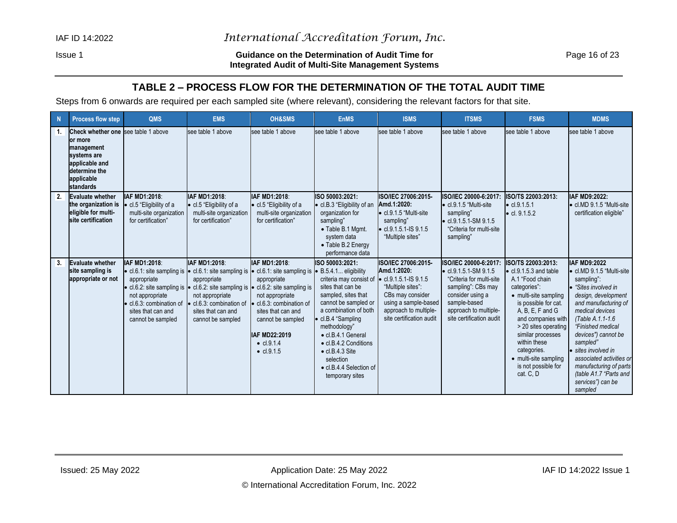#### Issue 1 **Guidance on the Determination of Audit Time for** Page 16 of 23 **Integrated Audit of Multi-Site Management Systems**

# **TABLE 2 – PROCESS FLOW FOR THE DETERMINATION OF THE TOTAL AUDIT TIME**

Steps from 6 onwards are required per each sampled site (where relevant), considering the relevant factors for that site.

<span id="page-15-0"></span>

| $\mathbf N$ | <b>Process flow step</b>                                                                                                                   | QMS                                                                                              | <b>EMS</b>                                                                                                                                                                                                                                                                                                                                                              | <b>OH&amp;SMS</b>                                                                                                                                 | <b>EnMS</b>                                                                                                                                                                                                                                                                                                                                 | <b>ISMS</b>                                                                                                                                                                               | <b>ITSMS</b>                                                                                                                                                                                      | <b>FSMS</b>                                                                                                                                                                                                                                                                                                                 | <b>MDMS</b>                                                                                                                                                                                                                                                                                                                                                                |
|-------------|--------------------------------------------------------------------------------------------------------------------------------------------|--------------------------------------------------------------------------------------------------|-------------------------------------------------------------------------------------------------------------------------------------------------------------------------------------------------------------------------------------------------------------------------------------------------------------------------------------------------------------------------|---------------------------------------------------------------------------------------------------------------------------------------------------|---------------------------------------------------------------------------------------------------------------------------------------------------------------------------------------------------------------------------------------------------------------------------------------------------------------------------------------------|-------------------------------------------------------------------------------------------------------------------------------------------------------------------------------------------|---------------------------------------------------------------------------------------------------------------------------------------------------------------------------------------------------|-----------------------------------------------------------------------------------------------------------------------------------------------------------------------------------------------------------------------------------------------------------------------------------------------------------------------------|----------------------------------------------------------------------------------------------------------------------------------------------------------------------------------------------------------------------------------------------------------------------------------------------------------------------------------------------------------------------------|
| 1.          | Check whether one see table 1 above<br>lor more<br>management<br>systems are<br>applicable and<br>determine the<br>applicable<br>standards |                                                                                                  | see table 1 above                                                                                                                                                                                                                                                                                                                                                       | see table 1 above                                                                                                                                 | see table 1 above                                                                                                                                                                                                                                                                                                                           | see table 1 above                                                                                                                                                                         | see table 1 above                                                                                                                                                                                 | see table 1 above                                                                                                                                                                                                                                                                                                           | see table 1 above                                                                                                                                                                                                                                                                                                                                                          |
| 2.          | <b>Evaluate whether</b><br>the organization is<br>eligible for multi-<br>site certification                                                | <b>IAF MD1:2018</b><br>• cl.5 "Eligibility of a<br>multi-site organization<br>for certification" | <b>IAF MD1:2018</b><br>• cl.5 "Eligibility of a<br>multi-site organization<br>for certification"                                                                                                                                                                                                                                                                        | IAF MD1:2018:<br>• cl.5 "Eligibility of a<br>multi-site organization<br>for certification"                                                        | ISO 50003:2021:<br>• cl.B.3 "Eligibility of an<br>organization for<br>sampling"<br>• Table B.1 Mgmt.<br>system data<br>• Table B.2 Energy<br>performance data                                                                                                                                                                               | ISO/IEC 27006:2015-<br>Amd.1:2020:<br>$\bullet$ cl.9.1.5 "Multi-site<br>sampling"<br>$\bullet$ cl.9.1.5.1-IS 9.1.5<br>"Multiple sites"                                                    | ISO/IEC 20000-6:2017:<br>$\bullet$ cl.9.1.5 "Multi-site<br>sampling"<br>$\bullet$ cl.9.1.5.1-SM 9.1.5<br>"Criteria for multi-site<br>sampling"                                                    | ISO/TS 22003:2013:<br>$\bullet$ cl.9.1.5.1<br>$\bullet$ cl. 9.1.5.2                                                                                                                                                                                                                                                         | IAF MD9:2022:<br>• cl.MD 9.1.5 "Multi-site<br>certification eligible"                                                                                                                                                                                                                                                                                                      |
| 3.          | <b>Evaluate whether</b><br>site sampling is<br>appropriate or not                                                                          | IAF MD1:2018:<br>appropriate<br>not appropriate<br>sites that can and<br>cannot be sampled       | <b>IAF MD1:2018:</b><br>• cl.6.1: site sampling is $\bullet$ cl.6.1: site sampling is $\bullet$ cl.6.1: site sampling is<br>appropriate<br>• cl.6.2: site sampling is • cl.6.2: site sampling is • cl.6.2: site sampling is<br>not appropriate<br>• cl.6.3: combination of • cl.6.3: combination of • cl.6.3: combination of<br>sites that can and<br>cannot be sampled | IAF MD1:2018:<br>appropriate<br>not appropriate<br>sites that can and<br>cannot be sampled<br>IAF MD22:2019<br>• $cl.9.1.4$<br>$\bullet$ cl.9.1.5 | ISO 50003:2021:<br>• B.5.4.1 eligibility<br>criteria may consist of<br>sites that can be<br>sampled, sites that<br>cannot be sampled or<br>a combination of both<br>• cl.B.4 "Sampling<br>methodology"<br>• cl.B.4.1 General<br>• cl.B.4.2 Conditions<br>$\bullet$ cl.B.4.3 Site<br>selection<br>• cl.B.4.4 Selection of<br>temporary sites | ISO/IEC 27006:2015-<br>Amd.1:2020:<br>$\bullet$ cl.9.1.5.1-IS 9.1.5<br>"Multiple sites":<br>CBs may consider<br>using a sample-based<br>approach to multiple-<br>site certification audit | ISO/IEC 20000-6:2017:<br>$\bullet$ cl.9.1.5.1-SM 9.1.5<br>"Criteria for multi-site<br>sampling": CBs may<br>consider using a<br>sample-based<br>approach to multiple-<br>site certification audit | ISO/TS 22003:2013:<br>$\bullet$ cl.9.1.5.3 and table<br>A.1 "Food chain<br>categories".<br>• multi-site sampling<br>is possible for cat.<br>A, B, E, F and G<br>and companies with<br>> 20 sites operating<br>similar processes<br>within these<br>categories.<br>• multi-site sampling<br>is not possible for<br>cat. C. D | <b>IAF MD9:2022</b><br>• cl.MD 9.1.5 "Multi-site<br>sampling":<br>"Sites involved in<br>design, development<br>and manufacturing of<br>medical devices<br>(Table A.1.1-1.6)<br>"Finished medical<br>devices") cannot be<br>sampled"<br>• sites involved in<br>associated activities or<br>manufacturing of parts<br>(table A1.7 "Parts and<br>services") can be<br>sampled |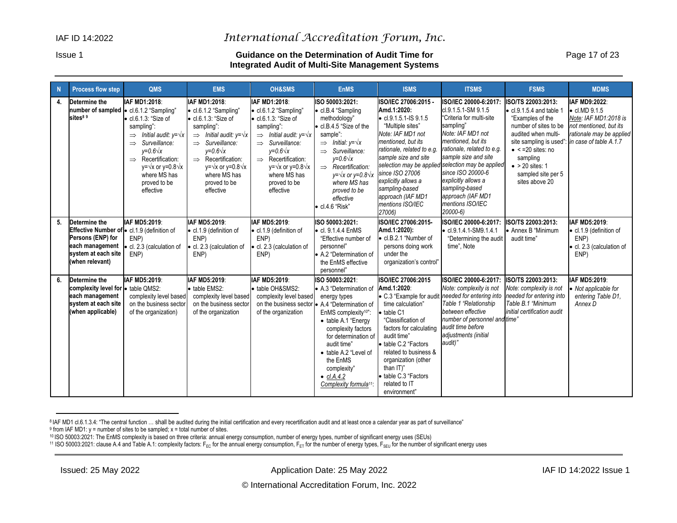#### Issue 1 **Guidance on the Determination of Audit Time for** Page 17 of 23 **Integrated Audit of Multi-Site Management Systems**

| N  | <b>Process flow step</b>                                                                                                                               | <b>QMS</b>                                                                                                                                                                                                                                                                      | <b>EMS</b>                                                                                                                                                                                                                                                                                           | <b>OH&amp;SMS</b>                                                                                                                                                                                                                                                                                    | <b>EnMS</b>                                                                                                                                                                                                                                                                                                                                          | <b>ISMS</b>                                                                                                                                                                                                                                                                                                                         | <b>ITSMS</b>                                                                                                                                                                                                                                                                                                                                                   | <b>FSMS</b>                                                                                                                                                                                                                                                      | <b>MDMS</b>                                                                                                                                     |
|----|--------------------------------------------------------------------------------------------------------------------------------------------------------|---------------------------------------------------------------------------------------------------------------------------------------------------------------------------------------------------------------------------------------------------------------------------------|------------------------------------------------------------------------------------------------------------------------------------------------------------------------------------------------------------------------------------------------------------------------------------------------------|------------------------------------------------------------------------------------------------------------------------------------------------------------------------------------------------------------------------------------------------------------------------------------------------------|------------------------------------------------------------------------------------------------------------------------------------------------------------------------------------------------------------------------------------------------------------------------------------------------------------------------------------------------------|-------------------------------------------------------------------------------------------------------------------------------------------------------------------------------------------------------------------------------------------------------------------------------------------------------------------------------------|----------------------------------------------------------------------------------------------------------------------------------------------------------------------------------------------------------------------------------------------------------------------------------------------------------------------------------------------------------------|------------------------------------------------------------------------------------------------------------------------------------------------------------------------------------------------------------------------------------------------------------------|-------------------------------------------------------------------------------------------------------------------------------------------------|
| 4. | Determine the<br>number of sampled   cl.6.1.2 "Sampling"<br>sites <sup>89</sup>                                                                        | IAF MD1:2018:<br>$\bullet$ cl.6.1.3: "Size of<br>sampling":<br>$\Rightarrow$ Initial audit: $v = \sqrt{x}$<br>$\implies$ Surveillance:<br>$y=0.6\sqrt{x}$<br>$\Rightarrow$ Recertification:<br>$y = \sqrt{x}$ or $y = 0.8\sqrt{x}$<br>where MS has<br>proved to be<br>effective | IAF MD1:2018:<br>• cl.6.1.2 "Sampling"<br>$\bullet$ cl.6.1.3: "Size of<br>sampling":<br>$\Rightarrow$ Initial audit: y= $\sqrt{x}$<br>$\implies$ Surveillance:<br>$y=0.6\sqrt{x}$<br>$\implies$ Recertification:<br>$y = \sqrt{x}$ or $y = 0.8\sqrt{x}$<br>where MS has<br>proved to be<br>effective | IAF MD1:2018:<br>• cl.6.1.2 "Sampling"<br>$\bullet$ cl.6.1.3: "Size of<br>sampling":<br>$\Rightarrow$ Initial audit: y= $\sqrt{x}$<br>$\implies$ Surveillance:<br>$y=0.6\sqrt{x}$<br>$\implies$ Recertification:<br>$y = \sqrt{x}$ or $y = 0.8\sqrt{x}$<br>where MS has<br>proved to be<br>effective | ISO 50003:2021:<br>• cl.B.4 "Sampling<br>methodology"<br>• cl.B.4.5 "Size of the<br>sample":<br>$\Rightarrow$ Initial: $y = \sqrt{x}$<br>$\implies$ Surveillance:<br>$v=0.6\sqrt{x}$<br>$\Rightarrow$ Recertification:<br>$y = \sqrt{x}$ or $y = 0.8\sqrt{x}$<br>where MS has<br>proved to be<br>effective<br>· cl.4.6 "Risk"                        | ISO/IEC 27006:2015 -<br>Amd.1:2020:<br>$\bullet$ cl.9.1.5.1-IS 9.1.5<br>"Multiple sites"<br>Note: IAF MD1 not<br>mentioned, but its<br>rationale, related to e.g.<br>sample size and site<br>since ISO 27006<br>explicitly allows a<br>sampling-based<br>approach (IAF MD1<br>mentions ISO/IEC<br>27006)                            | ISO/IEC 20000-6:2017:<br>cl.9.1.5.1-SM 9.1.5<br>"Criteria for multi-site<br>sampling"<br>Note: IAF MD1 not<br>mentioned, but its<br>rationale, related to e.g.<br>sample size and site<br>selection may be applied selection may be applied<br>since ISO 20000-6<br>explicitly allows a<br>sampling-based<br>approach (IAF MD1<br>mentions ISO/IEC<br>20000-6) | ISO/TS 22003:2013:<br>$\bullet$ cl.9.1.5.4 and table 1<br>"Examples of the<br>number of sites to be<br>audited when multi-<br>site sampling is used"<br>$\bullet$ < =20 sites: no<br>sampling<br>$\bullet$ > 20 sites: 1<br>sampled site per 5<br>sites above 20 | IAF MD9:2022:<br>$\bullet$ cl.MD 9.1.5<br>Note: IAF MD1:2018 is<br>not mentioned, but its<br>rationale may be applied<br>in case of table A.1.7 |
| 5. | Determine the<br>Effective Number of $\bullet$ cl.1.9 (definition of<br>Persons (ENP) for<br>each management<br>system at each site<br>(when relevant) | IAF MD5:2019:<br>ENP)<br>· cl. 2.3 (calculation of<br>ENP)                                                                                                                                                                                                                      | IAF MD5:2019:<br>· cl.1.9 (definition of<br>ENP)<br>· cl. 2.3 (calculation of<br>ENP)                                                                                                                                                                                                                | IAF MD5:2019:<br>· cl.1.9 (definition of<br>ENP)<br>· cl. 2.3 (calculation of<br>ENP)                                                                                                                                                                                                                | ISO 50003:2021:<br>$\bullet$ cl. 9.1.4.4 EnMS<br>"Effective number of<br>personnel"<br>• A.2 "Determination of<br>the EnMS effective<br>personnel"                                                                                                                                                                                                   | ISO/IEC 27006:2015-<br>Amd.1:2020):<br>• cl.B.2.1 "Number of<br>persons doing work<br>under the<br>organization's control'                                                                                                                                                                                                          | ISO/IEC 20000-6:2017:<br>cl.9.1.4.1-SM9.1.4.1<br>"Determining the audit<br>time", Note                                                                                                                                                                                                                                                                         | ISO/TS 22003:2013:<br>• Annex B "Minimum<br>audit time"                                                                                                                                                                                                          | IAF MD5:2019:<br>· cl.1.9 (definition of<br>ENP)<br>cl. 2.3 (calculation of<br>ENP)                                                             |
| 6. | Determine the<br>complexity level for $\bullet$ table QMS2:<br>each management<br>system at each site<br>(when applicable)                             | IAF MD5:2019:<br>complexity level based<br>on the business sector<br>of the organization)                                                                                                                                                                                       | IAF MD5:2019:<br>• table EMS2:<br>complexity level based<br>on the business sector<br>of the organization                                                                                                                                                                                            | IAF MD5:2019:<br>· table OH&SMS2:<br>complexity level based<br>of the organization                                                                                                                                                                                                                   | ISO 50003:2021:<br>• A.3 "Determination of<br>energy types<br>on the business sector • A.4 "Determination of<br>EnMS complexity <sup>10"</sup> :<br>• table A.1 "Energy<br>complexity factors<br>for determination of<br>audit time"<br>• table A.2 "Level of<br>the EnMS<br>complexity"<br>$\bullet$ cl.A.4.2<br>Complexity formula <sup>11</sup> : | ISO/IEC 27006:2015<br>Amd.1:2020:<br>• C.3 "Example for audit<br>time calculation"<br>$\bullet$ table C1<br>"Classification of<br>factors for calculating<br>audit time"<br>• table C.2 "Factors<br>related to business &<br>organization (other<br>than $ T$ <sup>"</sup><br>• table C.3 "Factors<br>related to IT<br>environment" | ISO/IEC 20000-6:2017:<br>Note: complexity is not<br>needed for entering into<br>Table 1 "Relationship<br>between effective<br>number of personnel and time"<br>audit time before<br>adjustments (initial<br>audit)"                                                                                                                                            | ISO/TS 22003:2013:<br>Note: complexity is not<br>needed for entering into<br>Table B.1 "Minimum<br>initial certification audit                                                                                                                                   | IAF MD5:2019:<br>• Not applicable for<br>entering Table D1.<br>Annex D                                                                          |

<sup>&</sup>lt;sup>8</sup> IAF MD1 cl.6.1.3.4: "The central function ... shall be audited during the initial certification and every recertification audit and at least once a calendar year as part of surveillance"  $9$  from IAF MD1: y = number of sites to be sampled; x = total number of sites.

Issued: 25 May 2022 **Application Date: 25 May 2022 Application Date: 25 May 2022 1899 14F ID 14:2022 Issue 1** 

<sup>10</sup> ISO 50003:2021: The EnMS complexity is based on three criteria: annual energy consumption, number of energy types, number of significant energy uses (SEUs)

 $^{11}$  ISO 50003:2021: clause A.4 and Table A.1: complexity factors: F<sub>EC</sub> for the annual energy consumption, F<sub>ET</sub> for the number of energy types, F<sub>SEU</sub> for the number of significant energy uses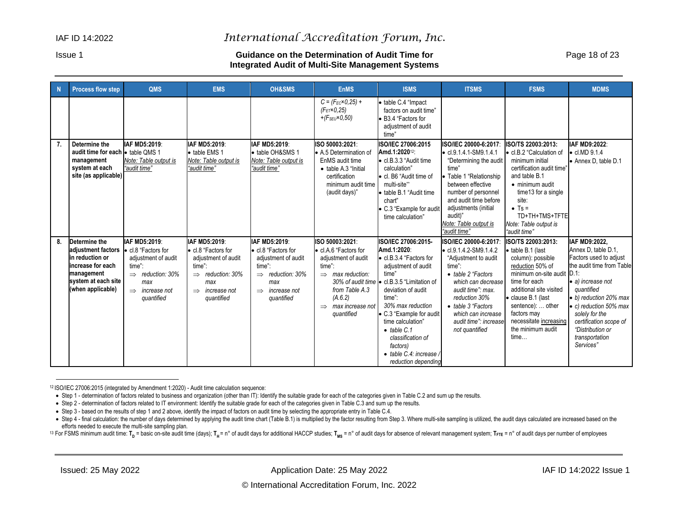#### Issue 1 **Guidance on the Determination of Audit Time for** Page 18 of 23 **Integrated Audit of Multi-Site Management Systems**

| -N | <b>Process flow step</b>                                                                                                               | QMS                                                                                                                                                   | <b>EMS</b>                                                                                                                                         | <b>OH&amp;SMS</b>                                                                                                                                  | <b>EnMS</b>                                                                                                                                                                      | <b>ISMS</b>                                                                                                                                                                                                                                                                                                                                                        | <b>ITSMS</b>                                                                                                                                                                                                                                                         | <b>FSMS</b>                                                                                                                                                                                                                                                                 | <b>MDMS</b>                                                                                                                                                                                                                                                                               |
|----|----------------------------------------------------------------------------------------------------------------------------------------|-------------------------------------------------------------------------------------------------------------------------------------------------------|----------------------------------------------------------------------------------------------------------------------------------------------------|----------------------------------------------------------------------------------------------------------------------------------------------------|----------------------------------------------------------------------------------------------------------------------------------------------------------------------------------|--------------------------------------------------------------------------------------------------------------------------------------------------------------------------------------------------------------------------------------------------------------------------------------------------------------------------------------------------------------------|----------------------------------------------------------------------------------------------------------------------------------------------------------------------------------------------------------------------------------------------------------------------|-----------------------------------------------------------------------------------------------------------------------------------------------------------------------------------------------------------------------------------------------------------------------------|-------------------------------------------------------------------------------------------------------------------------------------------------------------------------------------------------------------------------------------------------------------------------------------------|
|    |                                                                                                                                        |                                                                                                                                                       |                                                                                                                                                    |                                                                                                                                                    | $C = (F_{EC} \times 0.25) +$<br>$(F_{ET} \times 0.25)$<br>+ $(F_{SEU} \times 0, 50)$                                                                                             | • table C.4 "Impact<br>factors on audit time"<br>• B3.4 "Factors for<br>adjustment of audit<br>time"                                                                                                                                                                                                                                                               |                                                                                                                                                                                                                                                                      |                                                                                                                                                                                                                                                                             |                                                                                                                                                                                                                                                                                           |
| 7. | Determine the<br>audit time for each lotable OMS 1<br>management<br>system at each<br>site (as applicable)                             | IAF MD5:2019:<br>Note: Table output is<br>"audit time"                                                                                                | IAF MD5:2019:<br>· table EMS 1<br>Note: Table output is<br>"audit time"                                                                            | IAF MD5:2019:<br>· table OH&SMS 1<br>Note: Table output is<br>"audit time"                                                                         | ISO 50003:2021:<br>• A.5 Determination of<br>EnMS audit time<br>• table A.3 "Initial<br>certification<br>minimum audit time<br>(audit days)"                                     | <b>ISO/IEC 27006:2015</b><br>Amd.1:2020 <sup>12</sup> :<br>• cl.B.3.3 "Audit time<br>calculation"<br>· cl. B6 "Audit time of<br>multi-site"<br>• table B.1 "Audit time<br>chart"<br>• C.3 "Example for audit<br>time calculation"                                                                                                                                  | ISO/IEC 20000-6:2017:<br>$\bullet$ cl.9.1.4.1-SM9.1.4.1<br>"Determining the audit<br>time"<br>Table 1 "Relationship<br>between effective<br>number of personnel<br>and audit time before<br>adjustments (initial<br>audit)"<br>Note: Table output is<br>"audit time" | ISO/TS 22003:2013:<br>• cl.B.2 "Calculation of<br>minimum initial<br>certification audit time"<br>and table B.1<br>• minimum audit<br>time13 for a single<br>site:<br>$\bullet$ Ts =<br>TD+TH+TMS+TFTE<br>Note: Table output is<br>"audit time"                             | IAF MD9:2022:<br>$\bullet$ cl.MD $9.1.4$<br>• Annex D, table D.1                                                                                                                                                                                                                          |
| 8. | Determine the<br>adjustment factors<br>lin reduction or<br>increase for each<br>management<br>system at each site<br>(when applicable) | IAF MD5:2019:<br>• cl.8 "Factors for<br>adjustment of audit<br>time":<br>$\Rightarrow$ reduction: 30%<br>max<br>$\implies$ increase not<br>quantified | IAF MD5:2019:<br>• cl.8 "Factors for<br>adjustment of audit<br>time":<br>$\implies$ reduction: 30%<br>max<br>$\implies$ increase not<br>quantified | IAF MD5:2019:<br>• cl.8 "Factors for<br>adjustment of audit<br>time":<br>$\implies$ reduction: 30%<br>max<br>$\implies$ increase not<br>quantified | ISO 50003:2021:<br>• cl.A.6 "Factors for<br>adjustment of audit<br>time":<br>$\implies$ max reduction:<br>from Table A.3<br>(A.6.2)<br>$\implies$ max increase not<br>quantified | ISO/IEC 27006:2015-<br>Amd.1:2020:<br>• cl.B.3.4 "Factors for<br>adjustment of audit<br>time"<br>30% of audit time • cl.B.3.5 "Limitation of<br>deviation of audit<br>time":<br>30% max reduction<br>• C.3 "Example for audit<br>time calculation"<br>$\bullet$ table C.1<br>classification of<br>factors)<br>$\bullet$ table C.4: increase<br>reduction depending | ISO/IEC 20000-6:2017:<br>$\bullet$ cl.9.1.4.2-SM9.1.4.2<br>"Adjustment to audit<br>time"<br>• table 2 "Factors<br>which can decrease<br>audit time": max.<br>reduction 30%<br>• table 3 "Factors<br>which can increase<br>audit time": increase<br>not quantified    | ISO/TS 22003:2013:<br>• table B.1 (last<br>column): possible<br>reduction 50% of<br>minimum on-site audit D.1:<br>time for each<br>additional site visited<br>· clause B.1 (last<br>sentence):  other<br>factors may<br>necessitate increasing<br>the minimum audit<br>time | IAF MD9:2022,<br>Annex D, table D.1,<br>Factors used to adjust<br>the audit time from Table<br>• a) increase not<br>quantified<br>• b) reduction 20% max<br>$\bullet$ c) reduction 50% max<br>solely for the<br>certification scope of<br>"Distribution or<br>transportation<br>Services" |

<sup>12</sup> ISO/IEC 27006:2015 (integrated by Amendment 1:2020) - Audit time calculation sequence:

• Step 1 - determination of factors related to business and organization (other than IT): Identify the suitable grade for each of the categories given in Table C.2 and sum up the results.

• Step 2 - determination of factors related to IT environment: Identify the suitable grade for each of the categories given in Table C.3 and sum up the results.

• Step 3 - based on the results of step 1 and 2 above, identify the impact of factors on audit time by selecting the appropriate entry in Table C.4.

. Step 4 - final calculation: the number of days determined by applying the audit time chart (Table B.1) is multiplied by the factor resulting from Step 3. Where multi-site sampling is utilized, the audit days calculated a efforts needed to execute the multi-site sampling plan.

<sup>13</sup> For FSMS minimum audit time: T<sub>D</sub> = basic on-site audit time (days); T<sub>H</sub> = n° of audit days for additional HACCP studies; T<sub>MS</sub> = n° of audit days for absence of relevant management system; T<sub>FTE</sub> = n° of audit days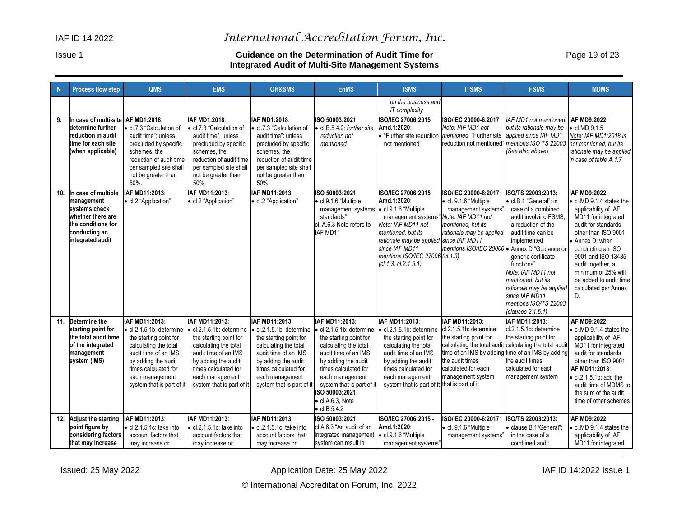#### Issue 1 **Guidance on the Determination of Audit Time for** Page 19 of 23 **Integrated Audit of Multi-Site Management Systems**

| N   | <b>Process flow step</b>                                                                                                           | <b>QMS</b>                                                                                                                                                                                                                  | <b>EMS</b>                                                                                                                                                                                                                   | <b>OH&amp;SMS</b>                                                                                                                                                                                                  | <b>EnMS</b>                                                                                                                                                                                                                                                                              | <b>ISMS</b>                                                                                                                                                                                                                                                                    | <b>ITSMS</b>                                                                                                                                                                                                       | <b>FSMS</b>                                                                                                                                                                                                                                                                                                                        | <b>MDMS</b>                                                                                                                                                                                                                                                                                              |
|-----|------------------------------------------------------------------------------------------------------------------------------------|-----------------------------------------------------------------------------------------------------------------------------------------------------------------------------------------------------------------------------|------------------------------------------------------------------------------------------------------------------------------------------------------------------------------------------------------------------------------|--------------------------------------------------------------------------------------------------------------------------------------------------------------------------------------------------------------------|------------------------------------------------------------------------------------------------------------------------------------------------------------------------------------------------------------------------------------------------------------------------------------------|--------------------------------------------------------------------------------------------------------------------------------------------------------------------------------------------------------------------------------------------------------------------------------|--------------------------------------------------------------------------------------------------------------------------------------------------------------------------------------------------------------------|------------------------------------------------------------------------------------------------------------------------------------------------------------------------------------------------------------------------------------------------------------------------------------------------------------------------------------|----------------------------------------------------------------------------------------------------------------------------------------------------------------------------------------------------------------------------------------------------------------------------------------------------------|
|     |                                                                                                                                    |                                                                                                                                                                                                                             |                                                                                                                                                                                                                              |                                                                                                                                                                                                                    |                                                                                                                                                                                                                                                                                          | on the business and<br>IT complexity                                                                                                                                                                                                                                           |                                                                                                                                                                                                                    |                                                                                                                                                                                                                                                                                                                                    |                                                                                                                                                                                                                                                                                                          |
| 9.  | In case of multi-site IAF MD1:2018:<br>determine further<br>reduction in audit<br>time for each site<br>(when applicable)          | cl.7.3 "Calculation of<br>audit time": unless<br>precluded by specific<br>schemes, the<br>reduction of audit time<br>per sampled site shall<br>not be greater than<br>50%.                                                  | IAF MD1:2018:<br>cl.7.3 "Calculation of<br>audit time": unless<br>precluded by specific<br>schemes, the<br>reduction of audit time<br>per sampled site shall<br>not be greater than<br>50%.                                  | IAF MD1:2018:<br>cl.7.3 "Calculation of<br>audit time": unless<br>precluded by specific<br>schemes, the<br>reduction of audit time<br>per sampled site shall<br>not be greater than<br>50%.                        | ISO 50003:2021:<br>cl.B.5.4.2: further site<br>reduction not<br>mentioned                                                                                                                                                                                                                | <b>ISO/IEC 27006:2015</b><br>Amd.1:2020:<br>• "Further site reduction<br>not mentioned"                                                                                                                                                                                        | ISO/IEC 20000-6:2017<br>Note: IAF MD1 not<br>mentioned. "Further site applied since IAF MD1<br>reduction not mentioned" mentions ISO TS 22003                                                                      | IAF MD1 not mentioned.<br>but its rationale may be<br>(See also above)                                                                                                                                                                                                                                                             | IAF MD9:2022:<br>$\bullet$ cl.MD $9.1.5$<br>Note: IAF MD1:2018 is<br>not mentioned, but its<br>rationale may be applied<br>in case of table A.1.7                                                                                                                                                        |
| 10. | In case of multiple<br>management<br>systems check<br>whether there are<br>the conditions for<br>conducting an<br>integrated audit | IAF MD11:2013:<br>· cl.2 "Application"                                                                                                                                                                                      | IAF MD11:2013:<br>· cl.2 "Application"                                                                                                                                                                                       | IAF MD11:2013:<br>· cl.2 "Application"                                                                                                                                                                             | ISO 50003:2021<br>· cl.9.1.6 "Multiple<br>management systems<br>standards"<br>cl. A.6.3 Note refers to<br>IAF MD11                                                                                                                                                                       | <b>ISO/IEC 27006:2015</b><br>Amd.1:2020:<br>• cl.9.1.6 "Multiple<br>management systems" Note: IAF MD11 not<br>Note: IAF MD11 not<br>mentioned, but its<br>rationale may be applied since IAF MD11<br>since IAF MD11<br>mentions ISO/IEC 27006 (cl.1.3)<br>(cl.1.3, cl.2.1.5.1) | ISO/IEC 20000-6:2017:<br>· cl. 9.1.6 "Multiple<br>management systems"<br>mentioned, but its<br>rationale may be applied<br>mentions ISO/IEC 20000 • Annex D "Guidance on                                           | ISO/TS 22003:2013:<br>· cl.B.1 "General": in<br>case of a combined<br>audit involving FSMS,<br>a reduction of the<br>audit time can be<br>implemented<br>generic certificate<br>functions"<br>Note: IAF MD11 not<br>mentioned, but its<br>rationale may be applied<br>since IAF MD11<br>mentions ISO/TS 22003<br>(clauses 2.1.5.1) | IAF MD9:2022:<br>• cl.MD 9.1.4 states the<br>applicability of IAF<br>MD11 for integrated<br>audit for standards<br>other than ISO 9001<br>• Annex D: when<br>conducting an ISO<br>9001 and ISO 13485<br>audit together, a<br>minimum of 25% will<br>be added to audit time<br>calculated per Annex<br>D. |
|     | 11. Determine the<br>starting point for<br>the total audit time<br>of the integrated<br>management<br>system (IMS)                 | IAF MD11:2013:<br>$\bullet$ cl.2.1.5.1b: determine<br>the starting point for<br>calculating the total<br>audit time of an IMS<br>by adding the audit<br>times calculated for<br>each management<br>system that is part of i | IAF MD11:2013:<br>$\bullet$ cl.2.1.5.1b: determine<br>the starting point for<br>calculating the total<br>audit time of an IMS<br>by adding the audit<br>times calculated for<br>each management<br>system that is part of it | IAF MD11:2013:<br>cl.2.1.5.1b: determine<br>the starting point for<br>calculating the total<br>audit time of an IMS<br>by adding the audit<br>times calculated for<br>each management<br>system that is part of it | IAF MD11:2013:<br>cl.2.1.5.1b: determine<br>the starting point for<br>calculating the total<br>audit time of an IMS<br>by adding the audit<br>times calculated for<br>each management<br>system that is part of it<br>ISO 50003:2021<br>$\bullet$ cl.A.6.3, Note<br>$\bullet$ cl.B.5.4.2 | IAF MD11:2013:<br>$\bullet$ cl.2.1.5.1b: determine<br>the starting point for<br>calculating the total<br>audit time of an IMS<br>by adding the audit<br>times calculated for<br>each management<br>system that is part of it                                                   | IAF MD11:2013:<br>cl.2.1.5.1b: determine<br>the starting point for<br>calculating the total audit calculating the total audit<br>the audit times<br>calculated for each<br>management system<br>that is part of it | IAF MD11:2013:<br>cl.2.1.5.1b: determine<br>the starting point for<br>time of an IMS by adding time of an IMS by adding<br>the audit times<br>calculated for each<br>management system                                                                                                                                             | IAF MD9:2022:<br>• cl.MD 9.1.4 states the<br>applicability of IAF<br>MD11 for integrated<br>audit for standards<br>other than ISO 9001<br>IAF MD11:2013:<br>$\bullet$ cl.2.1.5.1b: add the<br>audit time of MDMS to<br>the sum of the audit<br>time of other schemes                                     |
| 12. | <b>Adjust the starting</b><br>point figure by<br>considering factors<br>that may increase                                          | IAF MD11:2013:<br>· cl.2.1.5.1c: take into<br>account factors that<br>may increase or                                                                                                                                       | IAF MD11:2013:<br>· cl.2.1.5.1c: take into<br>account factors that<br>may increase or                                                                                                                                        | IAF MD11:2013:<br>· cl.2.1.5.1c: take into<br>account factors that<br>may increase or                                                                                                                              | ISO 50003:2021<br>cl.A.6.3 "An audit of an<br>integrated management<br>system can result in                                                                                                                                                                                              | ISO/IEC 27006:2015 -<br>Amd.1:2020:<br>$\bullet$ cl.9.1.6 "Multiple<br>management systems"                                                                                                                                                                                     | ISO/IEC 20000-6:2017:<br>· cl. 9.1.6 "Multiple<br>management systems"                                                                                                                                              | ISO/TS 22003:2013:<br>· clause B.1"General":<br>in the case of a<br>combined audit                                                                                                                                                                                                                                                 | IAF MD9:2022:<br>• cl.MD 9.1.4 states the<br>applicability of IAF<br>MD11 for integrated                                                                                                                                                                                                                 |

Issued: 25 May 2022 **Application Date: 25 May 2022 Application Date: 25 May 2022 1899 14F ID 14:2022 Issue 1** 

© International Accreditation Forum, Inc. 2022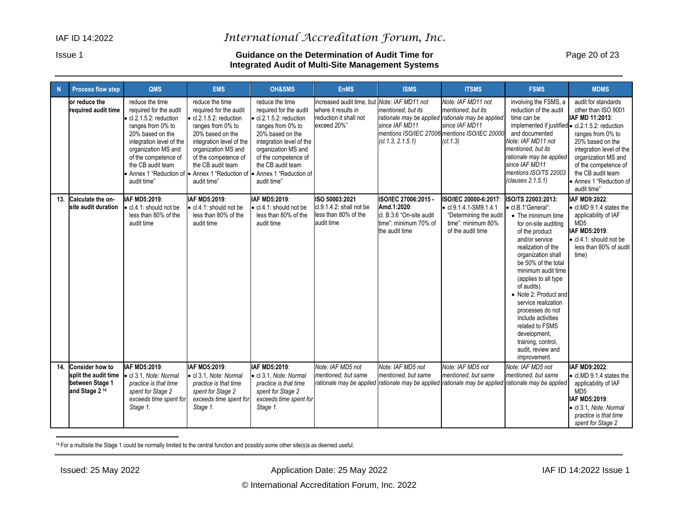#### Issue 1 **Guidance on the Determination of Audit Time for** Page 20 of 23 **Integrated Audit of Multi-Site Management Systems**

| N   | <b>Process flow step</b>                                                                       | <b>QMS</b>                                                                                                                                                                                                                   | <b>EMS</b>                                                                                                                                                                                                                                                                                                            | <b>OH&amp;SMS</b>                                                                                                                                                                                                          | <b>EnMS</b>                                                                                                  | <b>ISMS</b>                                                                                                                                                     | <b>ITSMS</b>                                                                                                                 | <b>FSMS</b>                                                                                                                                                                                                                                                                                                                                                                                                                                        | <b>MDMS</b>                                                                                                                                                                                                                                      |
|-----|------------------------------------------------------------------------------------------------|------------------------------------------------------------------------------------------------------------------------------------------------------------------------------------------------------------------------------|-----------------------------------------------------------------------------------------------------------------------------------------------------------------------------------------------------------------------------------------------------------------------------------------------------------------------|----------------------------------------------------------------------------------------------------------------------------------------------------------------------------------------------------------------------------|--------------------------------------------------------------------------------------------------------------|-----------------------------------------------------------------------------------------------------------------------------------------------------------------|------------------------------------------------------------------------------------------------------------------------------|----------------------------------------------------------------------------------------------------------------------------------------------------------------------------------------------------------------------------------------------------------------------------------------------------------------------------------------------------------------------------------------------------------------------------------------------------|--------------------------------------------------------------------------------------------------------------------------------------------------------------------------------------------------------------------------------------------------|
|     | or reduce the<br>required audit time                                                           | reduce the time<br>required for the audit<br>· cl.2.1.5.2: reduction<br>ranges from 0% to<br>20% based on the<br>integration level of the<br>organization MS and<br>of the competence of<br>the CB audit team<br>audit time" | reduce the time<br>required for the audit<br>cl.2.1.5.2: reduction<br>ranges from 0% to<br>20% based on the<br>integration level of the<br>organization MS and<br>of the competence of<br>the CB audit team<br>• Annex 1 "Reduction of $\bullet$ Annex 1 "Reduction of $\bullet$ Annex 1 "Reduction of<br>audit time" | reduce the time<br>required for the audit<br>cl.2.1.5.2: reduction<br>ranges from 0% to<br>20% based on the<br>integration level of the<br>organization MS and<br>of the competence of<br>the CB audit team<br>audit time" | increased audit time, but Note: IAF MD11 not<br>where it results in<br>reduction it shall not<br>exceed 20%" | mentioned, but its<br>rationale may be applied rationale may be applied<br>since IAF MD11<br>mentions ISO/IEC 27006 mentions ISO/IEC 20000<br>(cl.1.3, 2.1.5.1) | Note: IAF MD11 not<br>mentioned, but its<br>since IAF MD11<br>(cl.1.3)                                                       | involving the FSMS, a<br>reduction of the audit<br>time can be<br>implemented if justified • cl.2.1.5.2: reduction<br>and documented<br>Note: IAF MD11 not<br>mentioned, but its<br>rationale may be applied<br>since IAF MD11<br>mentions ISO/TS 22003<br>(clauses 2.1.5.1)                                                                                                                                                                       | audit for standards<br>other than ISO 9001<br>IAF MD 11:2013:<br>ranges from 0% to<br>20% based on the<br>integration level of the<br>organization MS and<br>of the competence of<br>the CB audit team<br>• Annex 1 "Reduction of<br>audit time" |
| 13. | Calculate the on-<br>site audit duration                                                       | IAF MD5:2019:<br>• cl.4.1: should not be<br>less than 80% of the<br>audit time                                                                                                                                               | IAF MD5:2019:<br>• cl.4.1: should not be<br>less than 80% of the<br>audit time                                                                                                                                                                                                                                        | IAF MD5:2019:<br>cl.4.1: should not be<br>less than 80% of the<br>audit time                                                                                                                                               | ISO 50003:2021<br>$cl.9.1.4.2$ : shall not be<br>less than 80% of the<br>audit time                          | ISO/IEC 27006:2015 -<br>Amd.1:2020:<br>cl. B.3.6 "On-site audit<br>time": minimum 70% of<br>the audit time                                                      | ISO/IEC 20000-6:2017:<br>$\bullet$ cl.9.1.4.1-SM9.1.4.1<br>"Determining the audit<br>time": minimum 80%<br>of the audit time | ISO/TS 22003:2013:<br>• cl.B.1"General":<br>• The minimum time<br>for on-site auditing<br>of the product<br>and/or service<br>realization of the<br>organization shall<br>be 50% of the total<br>minimum audit time<br>(applies to all type<br>of audits).<br>• Note 2: Product and<br>service realization<br>processes do not<br>include activities<br>related to FSMS<br>development,<br>training, control,<br>audit, review and<br>improvement. | IAF MD9:2022:<br>• cl.MD 9.1.4 states the<br>applicability of IAF<br>MD <sub>5</sub><br>IAF MD5:2019:<br>$\bullet$ cl.4.1: should not be<br>less than 80% of audit<br>time)                                                                      |
| 14. | <b>Consider how to</b><br>split the audit time<br>between Stage 1<br>and Stage 2 <sup>14</sup> | IAF MD5:2019:<br>• cl 3.1, Note: Normal<br>practice is that time<br>spent for Stage 2<br>exceeds time spent for<br>Stage 1.                                                                                                  | IAF MD5:2019:<br>• cl 3.1, Note: Normal<br>practice is that time<br>spent for Stage 2<br>exceeds time spent for<br>Stage 1.                                                                                                                                                                                           | IAF MD5:2019:<br>· cl 3.1, Note: Normal<br>practice is that time<br>spent for Stage 2<br>exceeds time spent for<br>Stage 1.                                                                                                | Note: IAF MD5 not<br>mentioned, but same                                                                     | Note: IAF MD5 not<br>mentioned, but same<br>rationale may be applied rationale may be applied                                                                   | Note: IAF MD5 not<br>mentioned, but same<br>rationale may be applied                                                         | Note: IAF MD5 not<br>mentioned, but same<br>rationale may be applied                                                                                                                                                                                                                                                                                                                                                                               | IAF MD9:2022:<br>• cl.MD 9.1.4 states the<br>applicability of IAF<br>MD <sub>5</sub><br>IAF MD5:2019:<br>· cl 3.1, Note: Normal<br>practice is that time<br>spent for Stage 2                                                                    |

14 For a multisite the Stage 1 could be normally limited to the central function and possibly some other site(s)s as deemed useful.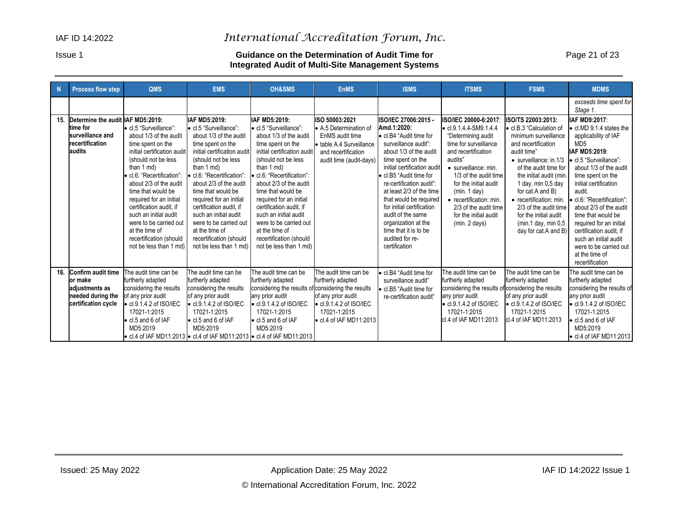#### Issue 1 **Guidance on the Determination of Audit Time for** Page 21 of 23 **Integrated Audit of Multi-Site Management Systems**

| N   | <b>Process flow step</b>                                                                            | QMS                                                                                                                                                                                                                                                                                                                                                                                                      | <b>EMS</b>                                                                                                                                                                                                                                                                                                                                                                                                                | <b>OH&amp;SMS</b>                                                                                                                                                                                                                                                                                                                                                                                                       | <b>EnMS</b>                                                                                                                                    | <b>ISMS</b>                                                                                                                                                                                                                                                                                                                                                                                                             | <b>ITSMS</b>                                                                                                                                                                                                                                                                                                                   | <b>FSMS</b>                                                                                                                                                                                                                                                                                                                                                              | <b>MDMS</b>                                                                                                                                                                                                                                                                                                                                                                                                                                   |
|-----|-----------------------------------------------------------------------------------------------------|----------------------------------------------------------------------------------------------------------------------------------------------------------------------------------------------------------------------------------------------------------------------------------------------------------------------------------------------------------------------------------------------------------|---------------------------------------------------------------------------------------------------------------------------------------------------------------------------------------------------------------------------------------------------------------------------------------------------------------------------------------------------------------------------------------------------------------------------|-------------------------------------------------------------------------------------------------------------------------------------------------------------------------------------------------------------------------------------------------------------------------------------------------------------------------------------------------------------------------------------------------------------------------|------------------------------------------------------------------------------------------------------------------------------------------------|-------------------------------------------------------------------------------------------------------------------------------------------------------------------------------------------------------------------------------------------------------------------------------------------------------------------------------------------------------------------------------------------------------------------------|--------------------------------------------------------------------------------------------------------------------------------------------------------------------------------------------------------------------------------------------------------------------------------------------------------------------------------|--------------------------------------------------------------------------------------------------------------------------------------------------------------------------------------------------------------------------------------------------------------------------------------------------------------------------------------------------------------------------|-----------------------------------------------------------------------------------------------------------------------------------------------------------------------------------------------------------------------------------------------------------------------------------------------------------------------------------------------------------------------------------------------------------------------------------------------|
|     |                                                                                                     |                                                                                                                                                                                                                                                                                                                                                                                                          |                                                                                                                                                                                                                                                                                                                                                                                                                           |                                                                                                                                                                                                                                                                                                                                                                                                                         |                                                                                                                                                |                                                                                                                                                                                                                                                                                                                                                                                                                         |                                                                                                                                                                                                                                                                                                                                |                                                                                                                                                                                                                                                                                                                                                                          | exceeds time spent for<br>Stage 1.                                                                                                                                                                                                                                                                                                                                                                                                            |
| 15. | Determine the audit IAF MD5:2019:<br>time for<br>surveillance and<br>recertification<br>laudits     | • cl.5 "Surveillance":<br>about 1/3 of the audit<br>time spent on the<br>initial certification audit<br>(should not be less)<br>than 1 md)<br>• cl.6: "Recertification":<br>about 2/3 of the audit<br>time that would be<br>required for an initial<br>certification audit, if<br>such an initial audit<br>were to be carried out<br>at the time of<br>recertification (should<br>not be less than 1 md) | IAF MD5:2019:<br>• cl.5 "Surveillance":<br>about 1/3 of the audit<br>time spent on the<br>initial certification audit<br>(should not be less)<br>than 1 md)<br>· cl.6: "Recertification":<br>about 2/3 of the audit<br>time that would be<br>required for an initial<br>certification audit. if<br>such an initial audit<br>were to be carried out<br>at the time of<br>recertification (should<br>not be less than 1 md) | IAF MD5:2019:<br>• cl.5 "Surveillance":<br>about 1/3 of the audit<br>time spent on the<br>initial certification audit<br>(should not be less)<br>than 1 md)<br>cl.6: "Recertification":<br>about 2/3 of the audit<br>time that would be<br>required for an initial<br>certification audit. if<br>such an initial audit<br>were to be carried out<br>at the time of<br>recertification (should<br>not be less than 1 md) | ISO 50003:2021<br>• A.5 Determination of<br>EnMS audit time<br>• table A.4 Surveillance<br>and recertification<br>audit time (audit-days)      | ISO/IEC 27006:2015 -<br>Amd.1:2020:<br>• cl.B4 "Audit time for<br>surveillance audit":<br>about 1/3 of the audit<br>time spent on the<br>initial certification audit<br>· cl.B5 "Audit time for<br>re-certification audit":<br>at least 2/3 of the time<br>that would be required<br>for initial certification<br>audit of the same<br>organization at the<br>time that it is to be<br>audited for re-<br>certification | ISO/IEC 20000-6:2017:<br>$\cdot$ cl.9.1.4.4-SM9.1.4.4<br>"Determining audit<br>time for surveillance<br>and recertification<br>audits"<br>· surveillance: min.<br>1/3 of the audit time<br>for the initial audit<br>(min. 1 day)<br>• recertification: min.<br>2/3 of the audit time<br>for the initial audit<br>(min. 2 days) | ISO/TS 22003:2013:<br>● cl.B.3 "Calculation of<br>minimum surveillance<br>and recertification<br>audit time"<br>$\bullet$ surveillance: in 1/3<br>of the audit time for<br>the initial audit (min.<br>1 day, min 0,5 day<br>for cat.A and B)<br>• recertification: min.<br>2/3 of the audit time<br>for the initial audit<br>(min.1 day, min 0,5<br>day for cat.A and B) | IAF MD9:2017:<br>• cl.MD 9.1.4 states the<br>applicability of IAF<br>MD <sub>5</sub><br>IAF MD5:2019:<br>• cl.5 "Surveillance":<br>about 1/3 of the audit<br>time spent on the<br>initial certification<br>audit.<br>· cl.6: "Recertification":<br>about 2/3 of the audit<br>time that would be<br>required for an initial<br>certification audit. if<br>such an initial audit<br>were to be carried out<br>at the time of<br>recertification |
| 16. | <b>Confirm audit time</b><br>lor make<br>adiustments as<br>needed during the<br>certification cycle | The audit time can be<br>furtherly adapted<br>considering the results<br>of any prior audit<br>$\bullet$ cl.9.1.4.2 of ISO/IEC<br>17021-1:2015<br>• cl.5 and 6 of IAF<br>MD5:2019                                                                                                                                                                                                                        | The audit time can be<br>furtherly adapted<br>considering the results<br>of any prior audit<br>$\bullet$ cl.9.1.4.2 of ISO/IEC<br>17021-1:2015<br>• cl.5 and 6 of IAF<br>MD5:2019<br>• cl.4 of IAF MD11:2013 • cl.4 of IAF MD11:2013 • cl.4 of IAF MD11:2013                                                                                                                                                              | The audit time can be<br>furtherly adapted<br>considering the results of considering the results<br>any prior audit<br>$\bullet$ cl.9.1.4.2 of ISO/IEC<br>17021-1:2015<br>• cl.5 and 6 of IAF<br>MD5:2019                                                                                                                                                                                                               | The audit time can be<br>furtherly adapted<br>of any prior audit<br>$\bullet$ cl.9.1.4.2 of ISO/IEC<br>17021-1:2015<br>• cl.4 of IAF MD11:2013 | • cl.B4 "Audit time for<br>surveillance audit"<br>• cl.B5 "Audit time for<br>re-certification audit"                                                                                                                                                                                                                                                                                                                    | The audit time can be<br>furtherly adapted<br>considering the results of considering the results<br>any prior audit<br>$\bullet$ cl.9.1.4.2 of ISO/IEC<br>17021-1:2015<br>cl.4 of IAF MD11:2013                                                                                                                                | The audit time can be<br>furtherly adapted<br>of any prior audit<br>$\bullet$ cl.9.1.4.2 of ISO/IEC<br>17021-1:2015<br>cl.4 of IAF MD11:2013                                                                                                                                                                                                                             | The audit time can be<br>furtherly adapted<br>considering the results of<br>any prior audit<br>$\bullet$ cl.9.1.4.2 of ISO/IEC<br>17021-1:2015<br>• cl.5 and 6 of IAF<br>MD5:2019<br>• cl.4 of IAF MD11:2013                                                                                                                                                                                                                                  |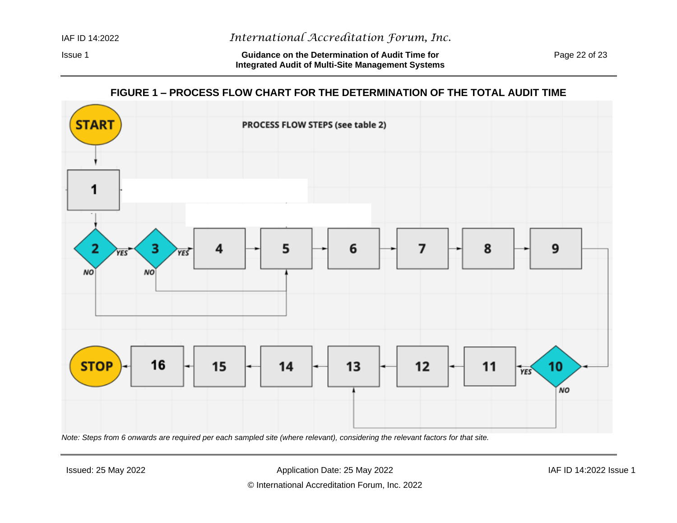Issue 1 **Guidance on the Determination of Audit Time for** Page 22 of 23 **Integrated Audit of Multi-Site Management Systems**

# **FIGURE 1 – PROCESS FLOW CHART FOR THE DETERMINATION OF THE TOTAL AUDIT TIME**

<span id="page-21-0"></span>